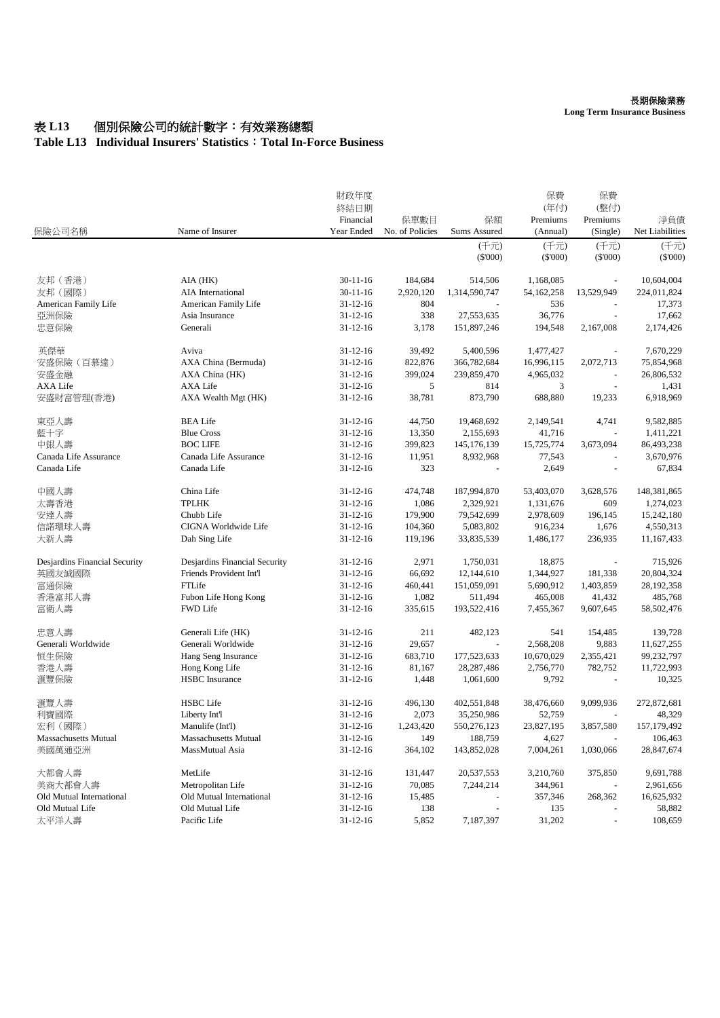#### 長期保險業務

**Long Term Insurance Business**

# 表 L13 個別保險公司的統計數字:有效業務總額

### **Table L13 Individual Insurers' Statistics**:**Total In-Force Business**

| 保險公司名稱                        | Name of Insurer               | 財政年度<br>終結日期<br>Financial<br>Year Ended | 保單數目<br>No. of Policies | 保額<br>Sums Assured | 保費<br>(年付)<br>Premiums<br>(Annual) | 保費<br>(整付)<br>Premiums<br>(Single) | 淨負債<br>Net Liabilities |
|-------------------------------|-------------------------------|-----------------------------------------|-------------------------|--------------------|------------------------------------|------------------------------------|------------------------|
|                               |                               |                                         |                         | (千元)               | (千元)                               | (千元)                               | (千元)                   |
|                               |                               |                                         |                         | $(\$'000)$         | $(\$000)$                          | $(\$'000)$                         | $(\$'000)$             |
| 友邦 (香港)                       | AIA (HK)                      | $30 - 11 - 16$                          | 184,684                 | 514,506            | 1,168,085                          |                                    | 10,604,004             |
| 友邦(國際)                        | AIA International             | $30-11-16$                              | 2,920,120               | 1,314,590,747      | 54, 162, 258                       | 13,529,949                         | 224,011,824            |
| American Family Life          | American Family Life          | $31 - 12 - 16$                          | 804                     |                    | 536                                | $\blacksquare$                     | 17,373                 |
| 亞洲保險                          | Asia Insurance                | $31 - 12 - 16$                          | 338                     | 27,553,635         | 36,776                             | $\overline{\phantom{a}}$           | 17,662                 |
| 忠意保險                          | Generali                      | $31 - 12 - 16$                          | 3,178                   | 151,897,246        | 194,548                            | 2,167,008                          | 2,174,426              |
| 英傑華                           | Aviva                         | $31 - 12 - 16$                          | 39,492                  | 5,400,596          | 1,477,427                          |                                    | 7,670,229              |
| 安盛保險(百慕達)                     | AXA China (Bermuda)           | $31 - 12 - 16$                          | 822,876                 | 366,782,684        | 16,996,115                         | 2,072,713                          | 75,854,968             |
| 安盛金融                          | AXA China (HK)                | $31 - 12 - 16$                          | 399,024                 | 239,859,470        | 4,965,032                          | $\overline{\phantom{a}}$           | 26,806,532             |
| AXA Life                      | AXA Life                      | $31 - 12 - 16$                          | 5                       | 814                | 3                                  |                                    | 1,431                  |
| 安盛財富管理(香港)                    | AXA Wealth Mgt (HK)           | $31 - 12 - 16$                          | 38,781                  | 873,790            | 688,880                            | 19,233                             | 6,918,969              |
| 東亞人壽                          | <b>BEA Life</b>               | $31 - 12 - 16$                          | 44,750                  | 19,468,692         | 2,149,541                          | 4,741                              | 9,582,885              |
| 藍十字                           | <b>Blue Cross</b>             | $31 - 12 - 16$                          | 13,350                  | 2,155,693          | 41,716                             |                                    | 1,411,221              |
| 中銀人壽                          | <b>BOC LIFE</b>               | $31 - 12 - 16$                          | 399,823                 | 145, 176, 139      | 15,725,774                         | 3,673,094                          | 86,493,238             |
| Canada Life Assurance         | Canada Life Assurance         | $31 - 12 - 16$                          | 11,951                  | 8,932,968          | 77,543                             |                                    | 3,670,976              |
| Canada Life                   | Canada Life                   | $31 - 12 - 16$                          | 323                     |                    | 2,649                              |                                    | 67,834                 |
| 中國人壽                          | China Life                    | $31 - 12 - 16$                          | 474,748                 | 187,994,870        | 53,403,070                         | 3,628,576                          | 148,381,865            |
| 太壽香港                          | <b>TPLHK</b>                  | $31 - 12 - 16$                          | 1,086                   | 2,329,921          | 1,131,676                          | 609                                | 1,274,023              |
| 安達人壽                          | Chubb Life                    | $31 - 12 - 16$                          | 179,900                 | 79,542,699         | 2,978,609                          | 196,145                            | 15,242,180             |
| 信諾環球人壽                        | CIGNA Worldwide Life          | $31 - 12 - 16$                          | 104,360                 | 5,083,802          | 916,234                            | 1,676                              | 4,550,313              |
| 大新人壽                          | Dah Sing Life                 | $31 - 12 - 16$                          | 119,196                 | 33,835,539         | 1,486,177                          | 236,935                            | 11,167,433             |
| Desjardins Financial Security | Desjardins Financial Security | $31 - 12 - 16$                          | 2,971                   | 1,750,031          | 18,875                             | $\overline{\phantom{a}}$           | 715,926                |
| 英國友誠國際                        | Friends Provident Int'l       | $31 - 12 - 16$                          | 66,692                  | 12,144,610         | 1,344,927                          | 181,338                            | 20,804,324             |
| 富通保險                          | FTLife                        | $31 - 12 - 16$                          | 460,441                 | 151,059,091        | 5,690,912                          | 1,403,859                          | 28, 192, 358           |
| 香港富邦人壽                        | Fubon Life Hong Kong          | $31 - 12 - 16$                          | 1,082                   | 511,494            | 465,008                            | 41,432                             | 485,768                |
| 富衛人壽                          | FWD Life                      | $31 - 12 - 16$                          | 335,615                 | 193,522,416        | 7,455,367                          | 9,607,645                          | 58,502,476             |
| 忠意人壽                          | Generali Life (HK)            | $31 - 12 - 16$                          | 211                     | 482,123            | 541                                | 154,485                            | 139,728                |
| Generali Worldwide            | Generali Worldwide            | $31 - 12 - 16$                          | 29,657                  |                    | 2,568,208                          | 9,883                              | 11,627,255             |
| 恒生保險                          | Hang Seng Insurance           | $31 - 12 - 16$                          | 683,710                 | 177,523,633        | 10,670,029                         | 2,355,421                          | 99,232,797             |
| 香港人壽                          | Hong Kong Life                | $31 - 12 - 16$                          | 81,167                  | 28, 287, 486       | 2,756,770                          | 782,752                            | 11,722,993             |
| 滙豐保險                          | <b>HSBC</b> Insurance         | $31 - 12 - 16$                          | 1,448                   | 1,061,600          | 9,792                              |                                    | 10,325                 |
| 滙豐人壽                          | <b>HSBC</b> Life              | $31 - 12 - 16$                          | 496,130                 | 402,551,848        | 38,476,660                         | 9,099,936                          | 272,872,681            |
| 利寶國際                          | Liberty Int'l                 | $31 - 12 - 16$                          | 2,073                   | 35,250,986         | 52,759                             |                                    | 48,329                 |
| 宏利 (國際)                       | Manulife (Int'l)              | $31 - 12 - 16$                          | 1,243,420               | 550,276,123        | 23,827,195                         | 3,857,580                          | 157, 179, 492          |
| Massachusetts Mutual          | <b>Massachusetts Mutual</b>   | $31 - 12 - 16$                          | 149                     | 188,759            | 4,627                              |                                    | 106,463                |
| 美國萬通亞洲                        | MassMutual Asia               | $31 - 12 - 16$                          | 364,102                 | 143,852,028        | 7,004,261                          | 1,030,066                          | 28,847,674             |
| 大都會人壽                         | MetLife                       | $31 - 12 - 16$                          | 131,447                 | 20,537,553         | 3,210,760                          | 375,850                            | 9,691,788              |
| 美商大都會人壽                       | Metropolitan Life             | $31 - 12 - 16$                          | 70,085                  | 7,244,214          | 344,961                            |                                    | 2,961,656              |
| Old Mutual International      | Old Mutual International      | $31 - 12 - 16$                          | 15,485                  |                    | 357,346                            | 268,362                            | 16,625,932             |
| Old Mutual Life               | Old Mutual Life               | $31 - 12 - 16$                          | 138                     |                    | 135                                |                                    | 58,882                 |
| 太平洋人壽                         | Pacific Life                  | $31 - 12 - 16$                          | 5,852                   | 7,187,397          | 31,202                             |                                    | 108,659                |